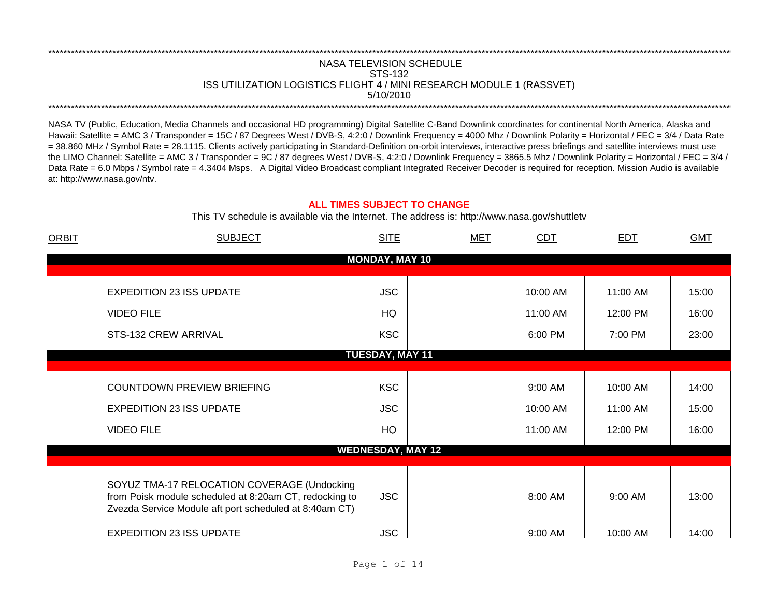## NASA TELEVISION SCHEDULE STS-132 ISS UTILIZATION LOGISTICS FLIGHT 4 / MINI RESEARCH MODULE 1 (RASSVET) 5/10/2010 \*\*\*\*\*\*\*\*\*\*\*\*\*\*\*\*\*\*\*\*\*\*\*\*\*\*\*\*\*\*\*\*\*\*\*\*\*\*\*\*\*\*\*\*\*\*\*\*\*\*\*\*\*\*\*\*\*\*\*\*\*\*\*\*\*\*\*\*\*\*\*\*\*\*\*\*\*\*\*\*\*\*\*\*\*\*\*\*\*\*\*\*\*\*\*\*\*\*\*\*\*\*\*\*\*\*\*\*\*\*\*\*\*\*\*\*\*\*\*\*\*\*\*\*\*\*\*\*\*\*\*\*\*\*\*\*\*\*\*\*\*\*\*\*\*\*\*\*\*\*\*\*\*\*\*\*\*\*\*\*\*\*\*\*\*\*\*\*\*\*\*\*\*\*\*\*\*\*\*\*\*\*\*\*\*

\*\*\*\*\*\*\*\*\*\*\*\*\*\*\*\*\*\*\*\*\*\*\*\*\*\*\*\*\*\*\*\*\*\*\*\*\*\*\*\*\*\*\*\*\*\*\*\*\*\*\*\*\*\*\*\*\*\*\*\*\*\*\*\*\*\*\*\*\*\*\*\*\*\*\*\*\*\*\*\*\*\*\*\*\*\*\*\*\*\*\*\*\*\*\*\*\*\*\*\*\*\*\*\*\*\*\*\*\*\*\*\*\*\*\*\*\*\*\*\*\*\*\*\*\*\*\*\*\*\*\*\*\*\*\*\*\*\*\*\*\*\*\*\*\*\*\*\*\*\*\*\*\*\*\*\*\*\*\*\*\*\*\*\*\*\*\*\*\*\*\*\*\*\*\*\*\*\*\*\*\*\*\*\*\*

NASA TV (Public, Education, Media Channels and occasional HD programming) Digital Satellite C-Band Downlink coordinates for continental North America, Alaska and Hawaii: Satellite = AMC 3 / Transponder = 15C / 87 Degrees West / DVB-S, 4:2:0 / Downlink Frequency = 4000 Mhz / Downlink Polarity = Horizontal / FEC = 3/4 / Data Rate = 38.860 MHz / Symbol Rate = 28.1115. Clients actively participating in Standard-Definition on-orbit interviews, interactive press briefings and satellite interviews must use the LIMO Channel: Satellite = AMC 3 / Transponder = 9C / 87 degrees West / DVB-S, 4:2:0 / Downlink Frequency = 3865.5 Mhz / Downlink Polarity = Horizontal / FEC = 3/4 / Data Rate = 6.0 Mbps / Symbol rate = 4.3404 Msps. A Digital Video Broadcast compliant Integrated Receiver Decoder is required for reception. Mission Audio is available at: http://www.nasa.gov/ntv.

## **ALL TIMES SUBJECT TO CHANGE**

This TV schedule is available via the Internet. The address is: http://www.nasa.gov/shuttletv

| <b>ORBIT</b> | <b>SUBJECT</b>                                                                                                                                                  | <b>SITE</b>              | <b>MET</b> | CDT      | <b>EDT</b> | <b>GMT</b> |
|--------------|-----------------------------------------------------------------------------------------------------------------------------------------------------------------|--------------------------|------------|----------|------------|------------|
|              |                                                                                                                                                                 | <b>MONDAY, MAY 10</b>    |            |          |            |            |
|              |                                                                                                                                                                 |                          |            |          |            |            |
|              | <b>EXPEDITION 23 ISS UPDATE</b>                                                                                                                                 | <b>JSC</b>               |            | 10:00 AM | 11:00 AM   | 15:00      |
|              | <b>VIDEO FILE</b>                                                                                                                                               | HQ                       |            | 11:00 AM | 12:00 PM   | 16:00      |
|              | STS-132 CREW ARRIVAL                                                                                                                                            | <b>KSC</b>               |            | 6:00 PM  | 7:00 PM    | 23:00      |
|              |                                                                                                                                                                 | <b>TUESDAY, MAY 11</b>   |            |          |            |            |
|              |                                                                                                                                                                 |                          |            |          |            |            |
|              | <b>COUNTDOWN PREVIEW BRIEFING</b>                                                                                                                               | <b>KSC</b>               |            | 9:00 AM  | 10:00 AM   | 14:00      |
|              | <b>EXPEDITION 23 ISS UPDATE</b>                                                                                                                                 | <b>JSC</b>               |            | 10:00 AM | 11:00 AM   | 15:00      |
|              | <b>VIDEO FILE</b>                                                                                                                                               | HQ                       |            | 11:00 AM | 12:00 PM   | 16:00      |
|              |                                                                                                                                                                 | <b>WEDNESDAY, MAY 12</b> |            |          |            |            |
|              |                                                                                                                                                                 |                          |            |          |            |            |
|              | SOYUZ TMA-17 RELOCATION COVERAGE (Undocking<br>from Poisk module scheduled at 8:20am CT, redocking to<br>Zvezda Service Module aft port scheduled at 8:40am CT) | <b>JSC</b>               |            | 8:00 AM  | 9:00 AM    | 13:00      |
|              | <b>EXPEDITION 23 ISS UPDATE</b>                                                                                                                                 | <b>JSC</b>               |            | 9:00 AM  | 10:00 AM   | 14:00      |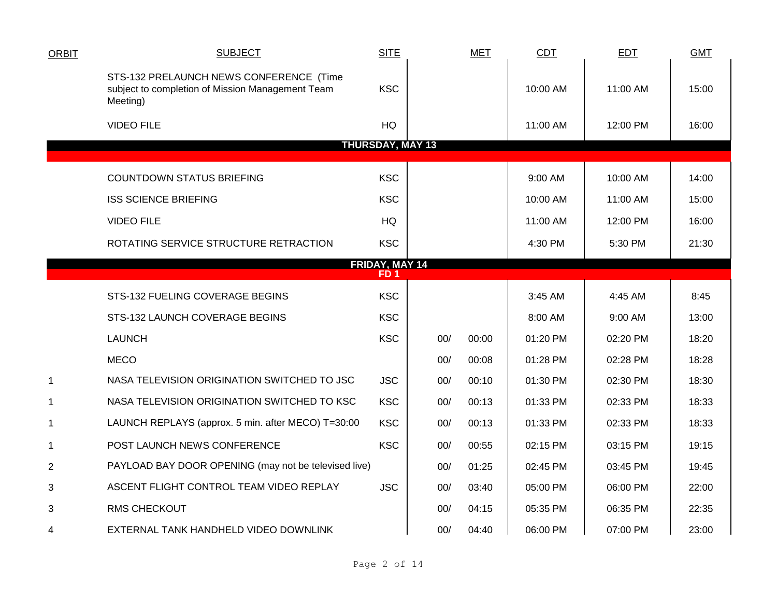| <b>ORBIT</b>   | <b>SUBJECT</b>                                                                                          | <b>SITE</b>             |     | <b>MET</b> | CDT      | <b>EDT</b> | <b>GMT</b> |
|----------------|---------------------------------------------------------------------------------------------------------|-------------------------|-----|------------|----------|------------|------------|
|                | STS-132 PRELAUNCH NEWS CONFERENCE (Time<br>subject to completion of Mission Management Team<br>Meeting) | <b>KSC</b>              |     |            | 10:00 AM | 11:00 AM   | 15:00      |
|                | <b>VIDEO FILE</b>                                                                                       | HQ                      |     |            | 11:00 AM | 12:00 PM   | 16:00      |
|                |                                                                                                         | <b>THURSDAY, MAY 13</b> |     |            |          |            |            |
|                | <b>COUNTDOWN STATUS BRIEFING</b>                                                                        | <b>KSC</b>              |     |            | 9:00 AM  | 10:00 AM   | 14:00      |
|                | <b>ISS SCIENCE BRIEFING</b>                                                                             | <b>KSC</b>              |     |            | 10:00 AM | 11:00 AM   | 15:00      |
|                | <b>VIDEO FILE</b>                                                                                       | HQ                      |     |            | 11:00 AM | 12:00 PM   | 16:00      |
|                | ROTATING SERVICE STRUCTURE RETRACTION                                                                   | <b>KSC</b>              |     |            | 4:30 PM  | 5:30 PM    | 21:30      |
|                |                                                                                                         | FRIDAY, MAY 14<br>FD 1  |     |            |          |            |            |
|                | STS-132 FUELING COVERAGE BEGINS                                                                         | <b>KSC</b>              |     |            | 3:45 AM  | 4:45 AM    | 8:45       |
|                | STS-132 LAUNCH COVERAGE BEGINS                                                                          | <b>KSC</b>              |     |            | 8:00 AM  | $9:00$ AM  | 13:00      |
|                | <b>LAUNCH</b>                                                                                           | <b>KSC</b>              | 00/ | 00:00      | 01:20 PM | 02:20 PM   | 18:20      |
|                | <b>MECO</b>                                                                                             |                         | 00/ | 00:08      | 01:28 PM | 02:28 PM   | 18:28      |
| $\mathbf{1}$   | NASA TELEVISION ORIGINATION SWITCHED TO JSC                                                             | <b>JSC</b>              | 00/ | 00:10      | 01:30 PM | 02:30 PM   | 18:30      |
| $\mathbf{1}$   | NASA TELEVISION ORIGINATION SWITCHED TO KSC                                                             | <b>KSC</b>              | 00/ | 00:13      | 01:33 PM | 02:33 PM   | 18:33      |
| $\mathbf 1$    | LAUNCH REPLAYS (approx. 5 min. after MECO) T=30:00                                                      | <b>KSC</b>              | 00/ | 00:13      | 01:33 PM | 02:33 PM   | 18:33      |
| $\mathbf{1}$   | POST LAUNCH NEWS CONFERENCE                                                                             | <b>KSC</b>              | 00/ | 00:55      | 02:15 PM | 03:15 PM   | 19:15      |
| $\overline{2}$ | PAYLOAD BAY DOOR OPENING (may not be televised live)                                                    |                         | 00/ | 01:25      | 02:45 PM | 03:45 PM   | 19:45      |
| 3              | ASCENT FLIGHT CONTROL TEAM VIDEO REPLAY                                                                 | <b>JSC</b>              | 00/ | 03:40      | 05:00 PM | 06:00 PM   | 22:00      |
| 3              | <b>RMS CHECKOUT</b>                                                                                     |                         | 00/ | 04:15      | 05:35 PM | 06:35 PM   | 22:35      |
| 4              | EXTERNAL TANK HANDHELD VIDEO DOWNLINK                                                                   |                         | 00/ | 04:40      | 06:00 PM | 07:00 PM   | 23:00      |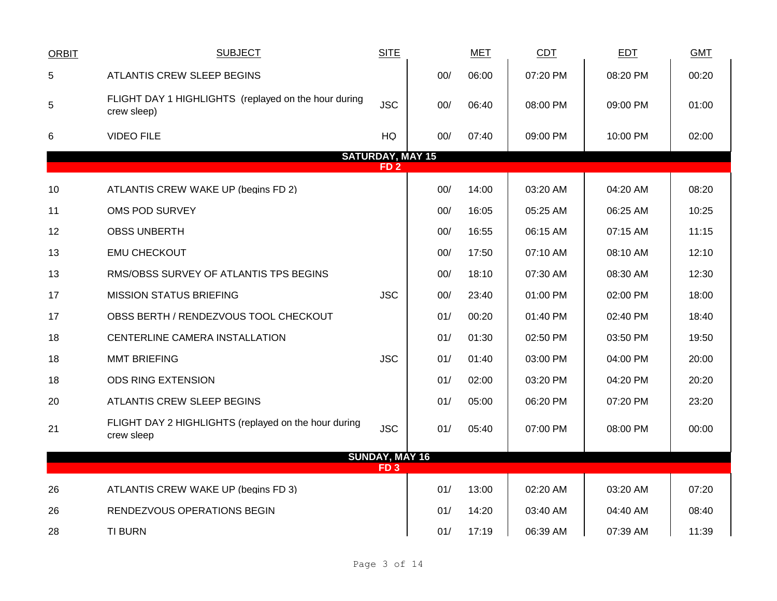| <b>ORBIT</b> | <b>SUBJECT</b>                                                      | <b>SITE</b>                                |     | <b>MET</b> | <b>CDT</b> | <b>EDT</b> | <b>GMT</b> |
|--------------|---------------------------------------------------------------------|--------------------------------------------|-----|------------|------------|------------|------------|
| 5            | ATLANTIS CREW SLEEP BEGINS                                          |                                            | 00/ | 06:00      | 07:20 PM   | 08:20 PM   | 00:20      |
| 5            | FLIGHT DAY 1 HIGHLIGHTS (replayed on the hour during<br>crew sleep) | <b>JSC</b>                                 | 00/ | 06:40      | 08:00 PM   | 09:00 PM   | 01:00      |
| 6            | <b>VIDEO FILE</b>                                                   | HQ                                         | 00/ | 07:40      | 09:00 PM   | 10:00 PM   | 02:00      |
|              |                                                                     | <b>SATURDAY, MAY 15</b><br>FD <sub>2</sub> |     |            |            |            |            |
|              |                                                                     |                                            |     |            |            |            |            |
| 10           | ATLANTIS CREW WAKE UP (begins FD 2)                                 |                                            | 00/ | 14:00      | 03:20 AM   | 04:20 AM   | 08:20      |
| 11           | OMS POD SURVEY                                                      |                                            | 00/ | 16:05      | 05:25 AM   | 06:25 AM   | 10:25      |
| 12           | <b>OBSS UNBERTH</b>                                                 |                                            | 00/ | 16:55      | 06:15 AM   | 07:15 AM   | 11:15      |
| 13           | <b>EMU CHECKOUT</b>                                                 |                                            | 00/ | 17:50      | 07:10 AM   | 08:10 AM   | 12:10      |
| 13           | RMS/OBSS SURVEY OF ATLANTIS TPS BEGINS                              |                                            | 00/ | 18:10      | 07:30 AM   | 08:30 AM   | 12:30      |
| 17           | <b>MISSION STATUS BRIEFING</b>                                      | <b>JSC</b>                                 | 00/ | 23:40      | 01:00 PM   | 02:00 PM   | 18:00      |
| 17           | OBSS BERTH / RENDEZVOUS TOOL CHECKOUT                               |                                            | 01/ | 00:20      | 01:40 PM   | 02:40 PM   | 18:40      |
| 18           | CENTERLINE CAMERA INSTALLATION                                      |                                            | 01/ | 01:30      | 02:50 PM   | 03:50 PM   | 19:50      |
| 18           | <b>MMT BRIEFING</b>                                                 | <b>JSC</b>                                 | 01/ | 01:40      | 03:00 PM   | 04:00 PM   | 20:00      |
| 18           | <b>ODS RING EXTENSION</b>                                           |                                            | 01/ | 02:00      | 03:20 PM   | 04:20 PM   | 20:20      |
| 20           | ATLANTIS CREW SLEEP BEGINS                                          |                                            | 01/ | 05:00      | 06:20 PM   | 07:20 PM   | 23:20      |
| 21           | FLIGHT DAY 2 HIGHLIGHTS (replayed on the hour during<br>crew sleep  | <b>JSC</b>                                 | 01/ | 05:40      | 07:00 PM   | 08:00 PM   | 00:00      |
|              |                                                                     | <b>SUNDAY, MAY 16</b>                      |     |            |            |            |            |
|              |                                                                     | FD <sub>3</sub>                            |     |            |            |            |            |
| 26           | ATLANTIS CREW WAKE UP (begins FD 3)                                 |                                            | 01/ | 13:00      | 02:20 AM   | 03:20 AM   | 07:20      |
| 26           | RENDEZVOUS OPERATIONS BEGIN                                         |                                            | 01/ | 14:20      | 03:40 AM   | 04:40 AM   | 08:40      |
| 28           | <b>TI BURN</b>                                                      |                                            | 01/ | 17:19      | 06:39 AM   | 07:39 AM   | 11:39      |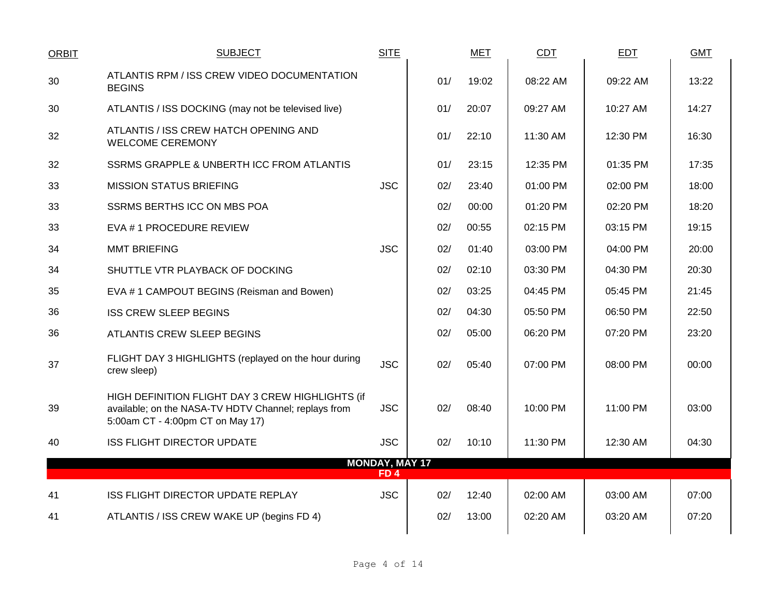| <b>ORBIT</b> | <b>SUBJECT</b>                                                                                                                               | <b>SITE</b>                              |     | MET   | <b>CDT</b> | <b>EDT</b> | <b>GMT</b> |
|--------------|----------------------------------------------------------------------------------------------------------------------------------------------|------------------------------------------|-----|-------|------------|------------|------------|
| 30           | ATLANTIS RPM / ISS CREW VIDEO DOCUMENTATION<br><b>BEGINS</b>                                                                                 |                                          | 01/ | 19:02 | 08:22 AM   | 09:22 AM   | 13:22      |
| 30           | ATLANTIS / ISS DOCKING (may not be televised live)                                                                                           |                                          | 01/ | 20:07 | 09:27 AM   | 10:27 AM   | 14:27      |
| 32           | ATLANTIS / ISS CREW HATCH OPENING AND<br><b>WELCOME CEREMONY</b>                                                                             |                                          | 01/ | 22:10 | 11:30 AM   | 12:30 PM   | 16:30      |
| 32           | SSRMS GRAPPLE & UNBERTH ICC FROM ATLANTIS                                                                                                    |                                          | 01/ | 23:15 | 12:35 PM   | 01:35 PM   | 17:35      |
| 33           | <b>MISSION STATUS BRIEFING</b>                                                                                                               | <b>JSC</b>                               | 02/ | 23:40 | 01:00 PM   | 02:00 PM   | 18:00      |
| 33           | SSRMS BERTHS ICC ON MBS POA                                                                                                                  |                                          | 02/ | 00:00 | 01:20 PM   | 02:20 PM   | 18:20      |
| 33           | EVA # 1 PROCEDURE REVIEW                                                                                                                     |                                          | 02/ | 00:55 | 02:15 PM   | 03:15 PM   | 19:15      |
| 34           | <b>MMT BRIEFING</b>                                                                                                                          | <b>JSC</b>                               | 02/ | 01:40 | 03:00 PM   | 04:00 PM   | 20:00      |
| 34           | SHUTTLE VTR PLAYBACK OF DOCKING                                                                                                              |                                          | 02/ | 02:10 | 03:30 PM   | 04:30 PM   | 20:30      |
| 35           | EVA #1 CAMPOUT BEGINS (Reisman and Bowen)                                                                                                    |                                          | 02/ | 03:25 | 04:45 PM   | 05:45 PM   | 21:45      |
| 36           | <b>ISS CREW SLEEP BEGINS</b>                                                                                                                 |                                          | 02/ | 04:30 | 05:50 PM   | 06:50 PM   | 22:50      |
| 36           | ATLANTIS CREW SLEEP BEGINS                                                                                                                   |                                          | 02/ | 05:00 | 06:20 PM   | 07:20 PM   | 23:20      |
| 37           | FLIGHT DAY 3 HIGHLIGHTS (replayed on the hour during<br>crew sleep)                                                                          | <b>JSC</b>                               | 02/ | 05:40 | 07:00 PM   | 08:00 PM   | 00:00      |
| 39           | HIGH DEFINITION FLIGHT DAY 3 CREW HIGHLIGHTS (if<br>available; on the NASA-TV HDTV Channel; replays from<br>5:00am CT - 4:00pm CT on May 17) | <b>JSC</b>                               | 02/ | 08:40 | 10:00 PM   | $11:00$ PM | 03:00      |
| 40           | <b>ISS FLIGHT DIRECTOR UPDATE</b>                                                                                                            | <b>JSC</b>                               | 02/ | 10:10 | 11:30 PM   | 12:30 AM   | 04:30      |
|              |                                                                                                                                              | <b>MONDAY, MAY 17</b><br>FD <sub>4</sub> |     |       |            |            |            |
| 41           | ISS FLIGHT DIRECTOR UPDATE REPLAY                                                                                                            | <b>JSC</b>                               | 02/ | 12:40 | 02:00 AM   | 03:00 AM   | 07:00      |
| 41           | ATLANTIS / ISS CREW WAKE UP (begins FD 4)                                                                                                    |                                          | 02/ | 13:00 | 02:20 AM   | 03:20 AM   | 07:20      |
|              |                                                                                                                                              |                                          |     |       |            |            |            |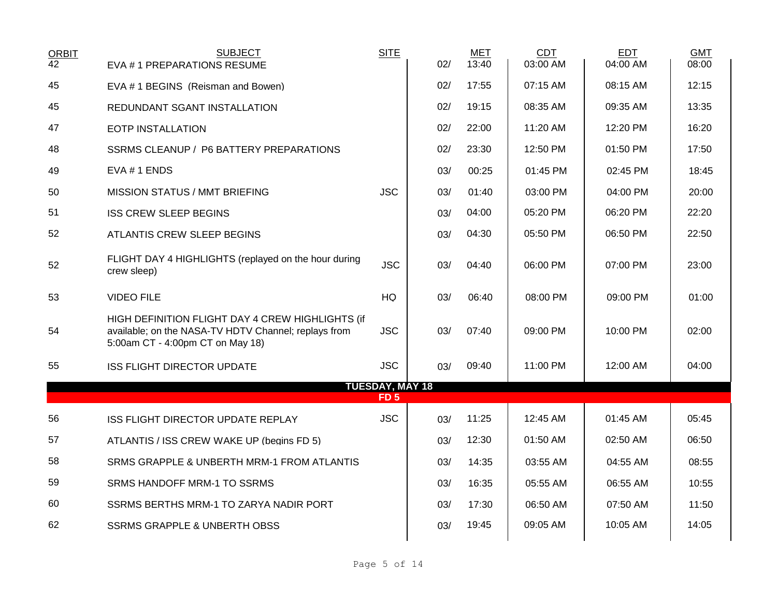| <b>ORBIT</b><br>$\overline{42}$ | <b>SUBJECT</b><br>EVA #1 PREPARATIONS RESUME                                                                                                 | <b>SITE</b>                               | 02/ | <b>MET</b><br>13:40 | CDT<br>03:00 AM | <b>EDT</b><br>04:00 AM | <b>GMT</b><br>08:00 |
|---------------------------------|----------------------------------------------------------------------------------------------------------------------------------------------|-------------------------------------------|-----|---------------------|-----------------|------------------------|---------------------|
| 45                              | EVA #1 BEGINS (Reisman and Bowen)                                                                                                            |                                           | 02/ | 17:55               | 07:15 AM        | 08:15 AM               | 12:15               |
| 45                              | REDUNDANT SGANT INSTALLATION                                                                                                                 |                                           | 02/ | 19:15               | 08:35 AM        | 09:35 AM               | 13:35               |
| 47                              | <b>EOTP INSTALLATION</b>                                                                                                                     |                                           | 02/ | 22:00               | 11:20 AM        | 12:20 PM               | 16:20               |
| 48                              | SSRMS CLEANUP / P6 BATTERY PREPARATIONS                                                                                                      |                                           | 02/ | 23:30               | 12:50 PM        | 01:50 PM               | 17:50               |
| 49                              | EVA #1 ENDS                                                                                                                                  |                                           | 03/ | 00:25               | 01:45 PM        | 02:45 PM               | 18:45               |
| 50                              | <b>MISSION STATUS / MMT BRIEFING</b>                                                                                                         | <b>JSC</b>                                | 03/ | 01:40               | 03:00 PM        | 04:00 PM               | 20:00               |
| 51                              | <b>ISS CREW SLEEP BEGINS</b>                                                                                                                 |                                           | 03/ | 04:00               | 05:20 PM        | 06:20 PM               | 22:20               |
| 52                              | ATLANTIS CREW SLEEP BEGINS                                                                                                                   |                                           | 03/ | 04:30               | 05:50 PM        | 06:50 PM               | 22:50               |
| 52                              | FLIGHT DAY 4 HIGHLIGHTS (replayed on the hour during<br>crew sleep)                                                                          | <b>JSC</b>                                | 03/ | 04:40               | 06:00 PM        | 07:00 PM               | 23:00               |
| 53                              | <b>VIDEO FILE</b>                                                                                                                            | HQ                                        | 03/ | 06:40               | 08:00 PM        | 09:00 PM               | 01:00               |
| 54                              | HIGH DEFINITION FLIGHT DAY 4 CREW HIGHLIGHTS (if<br>available; on the NASA-TV HDTV Channel; replays from<br>5:00am CT - 4:00pm CT on May 18) | <b>JSC</b>                                | 03/ | 07:40               | 09:00 PM        | 10:00 PM               | 02:00               |
| 55                              | <b>ISS FLIGHT DIRECTOR UPDATE</b>                                                                                                            | <b>JSC</b>                                | 03/ | 09:40               | 11:00 PM        | 12:00 AM               | 04:00               |
|                                 |                                                                                                                                              | <b>TUESDAY, MAY 18</b><br>FD <sub>5</sub> |     |                     |                 |                        |                     |
| 56                              | ISS FLIGHT DIRECTOR UPDATE REPLAY                                                                                                            | <b>JSC</b>                                | 03/ | 11:25               | 12:45 AM        | 01:45 AM               | 05:45               |
| 57                              | ATLANTIS / ISS CREW WAKE UP (begins FD 5)                                                                                                    |                                           | 03/ | 12:30               | 01:50 AM        | 02:50 AM               | 06:50               |
| 58                              | SRMS GRAPPLE & UNBERTH MRM-1 FROM ATLANTIS                                                                                                   |                                           | 03/ | 14:35               | 03:55 AM        | 04:55 AM               | 08:55               |
| 59                              | SRMS HANDOFF MRM-1 TO SSRMS                                                                                                                  |                                           | 03/ | 16:35               | 05:55 AM        | 06:55 AM               | 10:55               |
| 60                              | SSRMS BERTHS MRM-1 TO ZARYA NADIR PORT                                                                                                       |                                           | 03/ | 17:30               | 06:50 AM        | 07:50 AM               | 11:50               |
| 62                              | <b>SSRMS GRAPPLE &amp; UNBERTH OBSS</b>                                                                                                      |                                           | 03/ | 19:45               | 09:05 AM        | 10:05 AM               | 14:05               |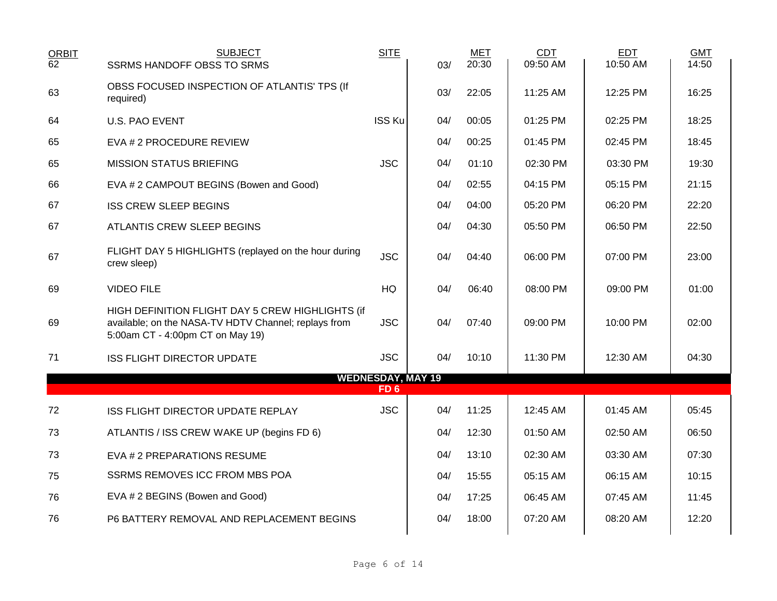| ORBIT <sub>62</sub> | <b>SUBJECT</b>                                                                                                                               | <b>SITE</b>                                 |     | <b>MET</b><br>20:30 | <b>CDT</b><br>09:50 AM | <b>EDT</b><br>10:50 AM | <b>GMT</b><br>14:50 |
|---------------------|----------------------------------------------------------------------------------------------------------------------------------------------|---------------------------------------------|-----|---------------------|------------------------|------------------------|---------------------|
|                     | <b>SSRMS HANDOFF OBSS TO SRMS</b>                                                                                                            |                                             | 03/ |                     |                        |                        |                     |
| 63                  | OBSS FOCUSED INSPECTION OF ATLANTIS' TPS (If<br>required)                                                                                    |                                             | 03/ | 22:05               | 11:25 AM               | 12:25 PM               | 16:25               |
| 64                  | <b>U.S. PAO EVENT</b>                                                                                                                        | <b>ISS Ku</b>                               | 04/ | 00:05               | 01:25 PM               | 02:25 PM               | 18:25               |
| 65                  | EVA # 2 PROCEDURE REVIEW                                                                                                                     |                                             | 04/ | 00:25               | 01:45 PM               | 02:45 PM               | 18:45               |
| 65                  | <b>MISSION STATUS BRIEFING</b>                                                                                                               | <b>JSC</b>                                  | 04/ | 01:10               | 02:30 PM               | 03:30 PM               | 19:30               |
| 66                  | EVA # 2 CAMPOUT BEGINS (Bowen and Good)                                                                                                      |                                             | 04/ | 02:55               | 04:15 PM               | 05:15 PM               | 21:15               |
| 67                  | <b>ISS CREW SLEEP BEGINS</b>                                                                                                                 |                                             | 04/ | 04:00               | 05:20 PM               | 06:20 PM               | 22:20               |
| 67                  | ATLANTIS CREW SLEEP BEGINS                                                                                                                   |                                             | 04/ | 04:30               | 05:50 PM               | 06:50 PM               | 22:50               |
| 67                  | FLIGHT DAY 5 HIGHLIGHTS (replayed on the hour during<br>crew sleep)                                                                          | <b>JSC</b>                                  | 04/ | 04:40               | 06:00 PM               | 07:00 PM               | 23:00               |
| 69                  | <b>VIDEO FILE</b>                                                                                                                            | HQ                                          | 04/ | 06:40               | 08:00 PM               | 09:00 PM               | 01:00               |
| 69                  | HIGH DEFINITION FLIGHT DAY 5 CREW HIGHLIGHTS (if<br>available; on the NASA-TV HDTV Channel; replays from<br>5:00am CT - 4:00pm CT on May 19) | <b>JSC</b>                                  | 04/ | 07:40               | 09:00 PM               | 10:00 PM               | 02:00               |
| 71                  | <b>ISS FLIGHT DIRECTOR UPDATE</b>                                                                                                            | <b>JSC</b>                                  | 04/ | 10:10               | 11:30 PM               | 12:30 AM               | 04:30               |
|                     |                                                                                                                                              | <b>WEDNESDAY, MAY 19</b><br>FD <sub>6</sub> |     |                     |                        |                        |                     |
| 72                  | ISS FLIGHT DIRECTOR UPDATE REPLAY                                                                                                            | <b>JSC</b>                                  | 04/ | 11:25               | 12:45 AM               | $01:45$ AM             | 05:45               |
| 73                  | ATLANTIS / ISS CREW WAKE UP (begins FD 6)                                                                                                    |                                             | 04/ | 12:30               | 01:50 AM               | 02:50 AM               | 06:50               |
| 73                  | EVA # 2 PREPARATIONS RESUME                                                                                                                  |                                             | 04/ | 13:10               | 02:30 AM               | 03:30 AM               | 07:30               |
| 75                  | SSRMS REMOVES ICC FROM MBS POA                                                                                                               |                                             | 04/ | 15:55               | 05:15 AM               | 06:15 AM               | 10:15               |
| 76                  | EVA # 2 BEGINS (Bowen and Good)                                                                                                              |                                             | 04/ | 17:25               | 06:45 AM               | 07:45 AM               | 11:45               |
| 76                  | P6 BATTERY REMOVAL AND REPLACEMENT BEGINS                                                                                                    |                                             | 04/ | 18:00               | 07:20 AM               | 08:20 AM               | 12:20               |
|                     |                                                                                                                                              |                                             |     |                     |                        |                        |                     |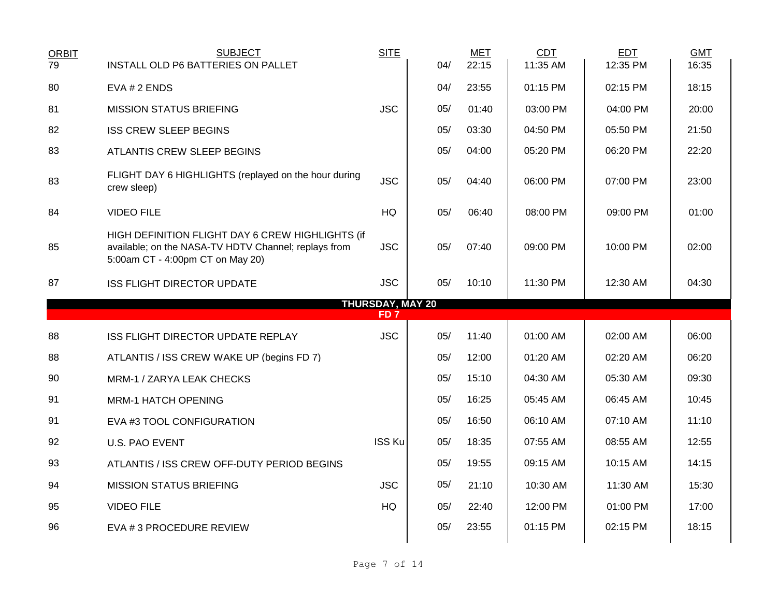| <b>ORBIT</b><br>79 | <b>SUBJECT</b><br>INSTALL OLD P6 BATTERIES ON PALLET                                                                                         | <b>SITE</b>                                | 04/ | <b>MET</b><br>22:15 | <b>CDT</b><br>11:35 AM | <b>EDT</b><br>12:35 PM | <b>GMT</b><br>16:35 |
|--------------------|----------------------------------------------------------------------------------------------------------------------------------------------|--------------------------------------------|-----|---------------------|------------------------|------------------------|---------------------|
| 80                 | $EVA # 2$ ENDS                                                                                                                               |                                            | 04/ | 23:55               | 01:15 PM               | 02:15 PM               | 18:15               |
| 81                 | <b>MISSION STATUS BRIEFING</b>                                                                                                               | <b>JSC</b>                                 | 05/ | 01:40               | 03:00 PM               | 04:00 PM               | 20:00               |
| 82                 | <b>ISS CREW SLEEP BEGINS</b>                                                                                                                 |                                            | 05/ | 03:30               | 04:50 PM               | 05:50 PM               | 21:50               |
| 83                 | ATLANTIS CREW SLEEP BEGINS                                                                                                                   |                                            | 05/ | 04:00               | 05:20 PM               | 06:20 PM               | 22:20               |
| 83                 | FLIGHT DAY 6 HIGHLIGHTS (replayed on the hour during<br>crew sleep)                                                                          | <b>JSC</b>                                 | 05/ | 04:40               | 06:00 PM               | 07:00 PM               | 23:00               |
| 84                 | <b>VIDEO FILE</b>                                                                                                                            | HQ                                         | 05/ | 06:40               | 08:00 PM               | 09:00 PM               | 01:00               |
| 85                 | HIGH DEFINITION FLIGHT DAY 6 CREW HIGHLIGHTS (if<br>available; on the NASA-TV HDTV Channel; replays from<br>5:00am CT - 4:00pm CT on May 20) | <b>JSC</b>                                 | 05/ | 07:40               | 09:00 PM               | 10:00 PM               | 02:00               |
| 87                 | <b>ISS FLIGHT DIRECTOR UPDATE</b>                                                                                                            | <b>JSC</b>                                 | 05/ | 10:10               | 11:30 PM               | 12:30 AM               | 04:30               |
|                    |                                                                                                                                              | <b>THURSDAY, MAY 20</b><br>FD <sub>7</sub> |     |                     |                        |                        |                     |
| 88                 | ISS FLIGHT DIRECTOR UPDATE REPLAY                                                                                                            | <b>JSC</b>                                 | 05/ | 11:40               | 01:00 AM               | 02:00 AM               | 06:00               |
| 88                 | ATLANTIS / ISS CREW WAKE UP (begins FD 7)                                                                                                    |                                            | 05/ | 12:00               | 01:20 AM               | 02:20 AM               | 06:20               |
| 90                 | MRM-1 / ZARYA LEAK CHECKS                                                                                                                    |                                            | 05/ | 15:10               | 04:30 AM               | 05:30 AM               | 09:30               |
| 91                 | <b>MRM-1 HATCH OPENING</b>                                                                                                                   |                                            | 05/ | 16:25               | 05:45 AM               | 06:45 AM               | 10:45               |
| 91                 | EVA #3 TOOL CONFIGURATION                                                                                                                    |                                            | 05/ | 16:50               | 06:10 AM               | 07:10 AM               | 11:10               |
| 92                 | <b>U.S. PAO EVENT</b>                                                                                                                        | <b>ISS Ku</b>                              | 05/ | 18:35               | 07:55 AM               | 08:55 AM               | 12:55               |
| 93                 | ATLANTIS / ISS CREW OFF-DUTY PERIOD BEGINS                                                                                                   |                                            | 05/ | 19:55               | 09:15 AM               | 10:15 AM               | 14:15               |
| 94                 | <b>MISSION STATUS BRIEFING</b>                                                                                                               | <b>JSC</b>                                 | 05/ | 21:10               | 10:30 AM               | 11:30 AM               | 15:30               |
| 95                 | <b>VIDEO FILE</b>                                                                                                                            | HQ                                         | 05/ | 22:40               | 12:00 PM               | 01:00 PM               | 17:00               |
| 96                 | EVA # 3 PROCEDURE REVIEW                                                                                                                     |                                            | 05/ | 23:55               | 01:15 PM               | 02:15 PM               | 18:15               |
|                    |                                                                                                                                              |                                            |     |                     |                        |                        |                     |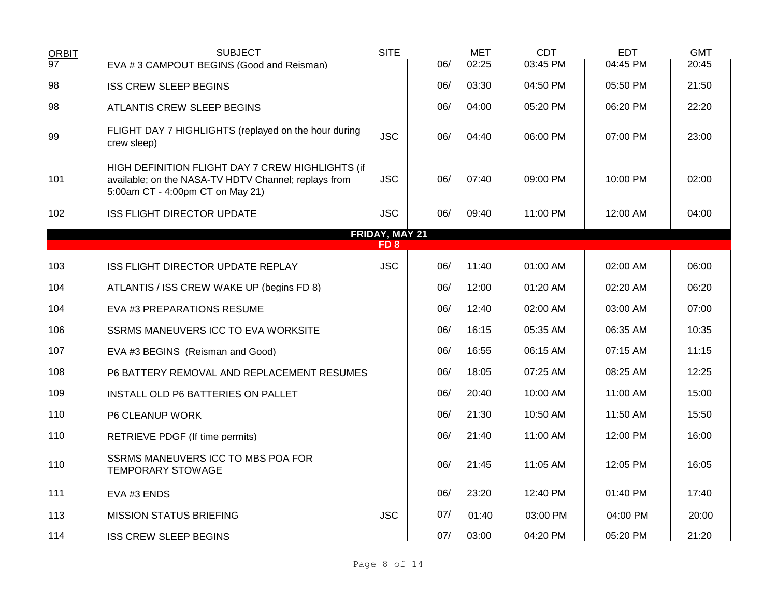| <b>ORBIT</b>    | <b>SUBJECT</b>                                                                                                                               | <b>SITE</b>     |     | <b>MET</b> | <b>CDT</b> | <b>EDT</b> | <b>GMT</b> |
|-----------------|----------------------------------------------------------------------------------------------------------------------------------------------|-----------------|-----|------------|------------|------------|------------|
| $\overline{97}$ | EVA #3 CAMPOUT BEGINS (Good and Reisman)                                                                                                     |                 | 06/ | 02:25      | 03:45 PM   | 04:45 PM   | 20:45      |
| 98              | <b>ISS CREW SLEEP BEGINS</b>                                                                                                                 |                 | 06/ | 03:30      | 04:50 PM   | 05:50 PM   | 21:50      |
| 98              | <b>ATLANTIS CREW SLEEP BEGINS</b>                                                                                                            |                 | 06/ | 04:00      | 05:20 PM   | 06:20 PM   | 22:20      |
| 99              | FLIGHT DAY 7 HIGHLIGHTS (replayed on the hour during<br>crew sleep)                                                                          | <b>JSC</b>      | 06/ | 04:40      | 06:00 PM   | 07:00 PM   | 23:00      |
| 101             | HIGH DEFINITION FLIGHT DAY 7 CREW HIGHLIGHTS (if<br>available; on the NASA-TV HDTV Channel; replays from<br>5:00am CT - 4:00pm CT on May 21) | <b>JSC</b>      | 06/ | 07:40      | 09:00 PM   | 10:00 PM   | 02:00      |
| 102             | <b>ISS FLIGHT DIRECTOR UPDATE</b>                                                                                                            | <b>JSC</b>      | 06/ | 09:40      | 11:00 PM   | 12:00 AM   | 04:00      |
|                 |                                                                                                                                              | FRIDAY, MAY 21  |     |            |            |            |            |
|                 |                                                                                                                                              | FD <sub>8</sub> |     |            |            |            |            |
| 103             | ISS FLIGHT DIRECTOR UPDATE REPLAY                                                                                                            | <b>JSC</b>      | 06/ | 11:40      | 01:00 AM   | 02:00 AM   | 06:00      |
| 104             | ATLANTIS / ISS CREW WAKE UP (begins FD 8)                                                                                                    |                 | 06/ | 12:00      | 01:20 AM   | 02:20 AM   | 06:20      |
| 104             | EVA #3 PREPARATIONS RESUME                                                                                                                   |                 | 06/ | 12:40      | 02:00 AM   | 03:00 AM   | 07:00      |
| 106             | SSRMS MANEUVERS ICC TO EVA WORKSITE                                                                                                          |                 | 06/ | 16:15      | 05:35 AM   | 06:35 AM   | 10:35      |
| 107             | EVA #3 BEGINS (Reisman and Good)                                                                                                             |                 | 06/ | 16:55      | 06:15 AM   | 07:15 AM   | 11:15      |
| 108             | P6 BATTERY REMOVAL AND REPLACEMENT RESUMES                                                                                                   |                 | 06/ | 18:05      | 07:25 AM   | 08:25 AM   | 12:25      |
| 109             | INSTALL OLD P6 BATTERIES ON PALLET                                                                                                           |                 | 06/ | 20:40      | 10:00 AM   | 11:00 AM   | 15:00      |
| 110             | P6 CLEANUP WORK                                                                                                                              |                 | 06/ | 21:30      | 10:50 AM   | 11:50 AM   | 15:50      |
| 110             | RETRIEVE PDGF (If time permits)                                                                                                              |                 | 06/ | 21:40      | 11:00 AM   | 12:00 PM   | 16:00      |
| 110             | SSRMS MANEUVERS ICC TO MBS POA FOR<br><b>TEMPORARY STOWAGE</b>                                                                               |                 | 06/ | 21:45      | 11:05 AM   | 12:05 PM   | 16:05      |
| 111             | EVA #3 ENDS                                                                                                                                  |                 | 06/ | 23:20      | 12:40 PM   | 01:40 PM   | 17:40      |
| 113             | <b>MISSION STATUS BRIEFING</b>                                                                                                               | <b>JSC</b>      | 07/ | 01:40      | 03:00 PM   | 04:00 PM   | 20:00      |
| 114             | <b>ISS CREW SLEEP BEGINS</b>                                                                                                                 |                 | 07/ | 03:00      | 04:20 PM   | 05:20 PM   | 21:20      |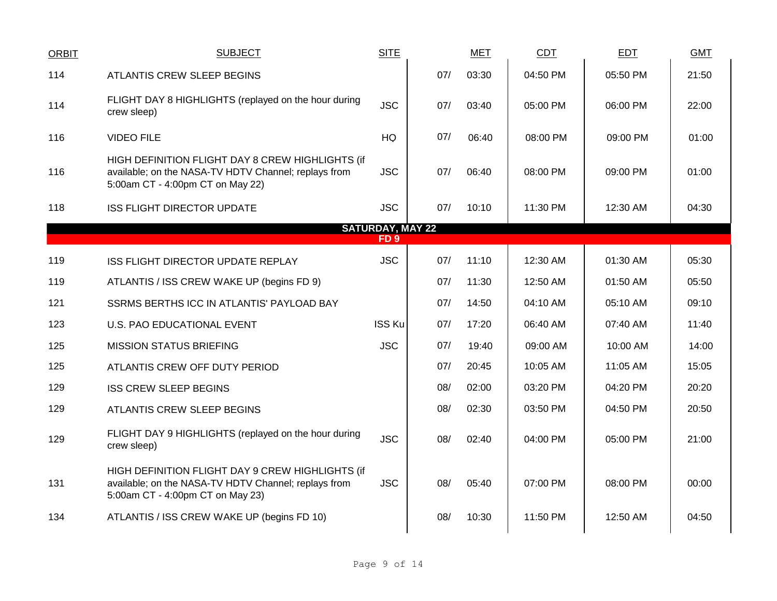| <b>ORBIT</b> | <b>SUBJECT</b>                                                                                                                               | <b>SITE</b>             |     | <b>MET</b> | <b>CDT</b> | <b>EDT</b> | <b>GMT</b> |
|--------------|----------------------------------------------------------------------------------------------------------------------------------------------|-------------------------|-----|------------|------------|------------|------------|
| 114          | ATLANTIS CREW SLEEP BEGINS                                                                                                                   |                         | 07/ | 03:30      | 04:50 PM   | 05:50 PM   | 21:50      |
| 114          | FLIGHT DAY 8 HIGHLIGHTS (replayed on the hour during<br>crew sleep)                                                                          | <b>JSC</b>              | 07/ | 03:40      | 05:00 PM   | 06:00 PM   | 22:00      |
| 116          | <b>VIDEO FILE</b>                                                                                                                            | HQ                      | 07/ | 06:40      | 08:00 PM   | 09:00 PM   | 01:00      |
| 116          | HIGH DEFINITION FLIGHT DAY 8 CREW HIGHLIGHTS (if<br>available; on the NASA-TV HDTV Channel; replays from<br>5:00am CT - 4:00pm CT on May 22) | <b>JSC</b>              | 07/ | 06:40      | 08:00 PM   | 09:00 PM   | 01:00      |
| 118          | <b>ISS FLIGHT DIRECTOR UPDATE</b>                                                                                                            | <b>JSC</b>              | 07/ | 10:10      | 11:30 PM   | 12:30 AM   | 04:30      |
|              |                                                                                                                                              | <b>SATURDAY, MAY 22</b> |     |            |            |            |            |
|              |                                                                                                                                              | FD <sub>9</sub>         |     |            |            |            |            |
| 119          | ISS FLIGHT DIRECTOR UPDATE REPLAY                                                                                                            | <b>JSC</b>              | 07/ | 11:10      | 12:30 AM   | 01:30 AM   | 05:30      |
| 119          | ATLANTIS / ISS CREW WAKE UP (begins FD 9)                                                                                                    |                         | 07/ | 11:30      | 12:50 AM   | 01:50 AM   | 05:50      |
| 121          | SSRMS BERTHS ICC IN ATLANTIS' PAYLOAD BAY                                                                                                    |                         | 07/ | 14:50      | 04:10 AM   | 05:10 AM   | 09:10      |
| 123          | U.S. PAO EDUCATIONAL EVENT                                                                                                                   | <b>ISS Ku</b>           | 07/ | 17:20      | 06:40 AM   | 07:40 AM   | 11:40      |
| 125          | <b>MISSION STATUS BRIEFING</b>                                                                                                               | <b>JSC</b>              | 07/ | 19:40      | 09:00 AM   | 10:00 AM   | 14:00      |
| 125          | ATLANTIS CREW OFF DUTY PERIOD                                                                                                                |                         | 07/ | 20:45      | 10:05 AM   | 11:05 AM   | 15:05      |
| 129          | <b>ISS CREW SLEEP BEGINS</b>                                                                                                                 |                         | 08/ | 02:00      | 03:20 PM   | 04:20 PM   | 20:20      |
| 129          | ATLANTIS CREW SLEEP BEGINS                                                                                                                   |                         | 08/ | 02:30      | 03:50 PM   | 04:50 PM   | 20:50      |
| 129          | FLIGHT DAY 9 HIGHLIGHTS (replayed on the hour during<br>crew sleep)                                                                          | <b>JSC</b>              | 08/ | 02:40      | 04:00 PM   | 05:00 PM   | 21:00      |
| 131          | HIGH DEFINITION FLIGHT DAY 9 CREW HIGHLIGHTS (if<br>available; on the NASA-TV HDTV Channel; replays from<br>5:00am CT - 4:00pm CT on May 23) | <b>JSC</b>              | 08/ | 05:40      | 07:00 PM   | 08:00 PM   | 00:00      |
| 134          | ATLANTIS / ISS CREW WAKE UP (begins FD 10)                                                                                                   |                         | 08/ | 10:30      | 11:50 PM   | 12:50 AM   | 04:50      |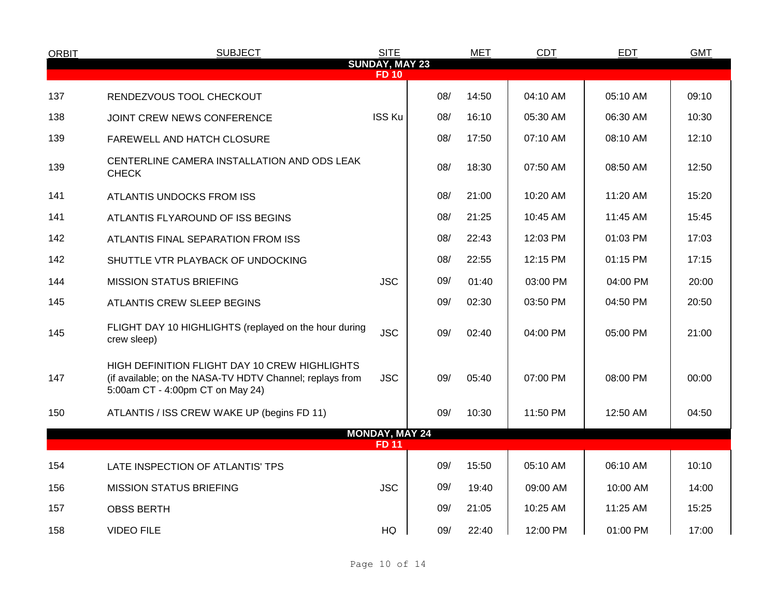| <b>ORBIT</b> | <b>SUBJECT</b>                                                                                                                                | <b>SITE</b>                           |     | <b>MET</b> | <b>CDT</b> | <b>EDT</b> | <b>GMT</b> |
|--------------|-----------------------------------------------------------------------------------------------------------------------------------------------|---------------------------------------|-----|------------|------------|------------|------------|
|              |                                                                                                                                               | <b>SUNDAY, MAY 23</b><br><b>FD 10</b> |     |            |            |            |            |
| 137          | RENDEZVOUS TOOL CHECKOUT                                                                                                                      |                                       | 08/ | 14:50      | 04:10 AM   | 05:10 AM   | 09:10      |
| 138          | JOINT CREW NEWS CONFERENCE                                                                                                                    | <b>ISS Ku</b>                         | 08/ | 16:10      | 05:30 AM   | 06:30 AM   | 10:30      |
| 139          | FAREWELL AND HATCH CLOSURE                                                                                                                    |                                       | 08/ | 17:50      | 07:10 AM   | 08:10 AM   | 12:10      |
| 139          | CENTERLINE CAMERA INSTALLATION AND ODS LEAK<br><b>CHECK</b>                                                                                   |                                       | 08/ | 18:30      | 07:50 AM   | 08:50 AM   | 12:50      |
| 141          | ATLANTIS UNDOCKS FROM ISS                                                                                                                     |                                       | 08/ | 21:00      | 10:20 AM   | 11:20 AM   | 15:20      |
| 141          | ATLANTIS FLYAROUND OF ISS BEGINS                                                                                                              |                                       | 08/ | 21:25      | 10:45 AM   | 11:45 AM   | 15:45      |
| 142          | ATLANTIS FINAL SEPARATION FROM ISS                                                                                                            |                                       | 08/ | 22:43      | 12:03 PM   | 01:03 PM   | 17:03      |
| 142          | SHUTTLE VTR PLAYBACK OF UNDOCKING                                                                                                             |                                       | 08/ | 22:55      | 12:15 PM   | 01:15 PM   | 17:15      |
| 144          | <b>MISSION STATUS BRIEFING</b>                                                                                                                | <b>JSC</b>                            | 09/ | 01:40      | 03:00 PM   | 04:00 PM   | 20:00      |
| 145          | ATLANTIS CREW SLEEP BEGINS                                                                                                                    |                                       | 09/ | 02:30      | 03:50 PM   | 04:50 PM   | 20:50      |
| 145          | FLIGHT DAY 10 HIGHLIGHTS (replayed on the hour during<br>crew sleep)                                                                          | <b>JSC</b>                            | 09/ | 02:40      | 04:00 PM   | 05:00 PM   | 21:00      |
| 147          | HIGH DEFINITION FLIGHT DAY 10 CREW HIGHLIGHTS<br>(if available; on the NASA-TV HDTV Channel; replays from<br>5:00am CT - 4:00pm CT on May 24) | <b>JSC</b>                            | 09/ | 05:40      | 07:00 PM   | 08:00 PM   | 00:00      |
| 150          | ATLANTIS / ISS CREW WAKE UP (begins FD 11)                                                                                                    |                                       | 09/ | 10:30      | 11:50 PM   | 12:50 AM   | 04:50      |
|              |                                                                                                                                               | <b>MONDAY, MAY 24</b>                 |     |            |            |            |            |
|              |                                                                                                                                               | <b>FD 11</b>                          |     |            |            |            |            |
| 154          | LATE INSPECTION OF ATLANTIS' TPS                                                                                                              |                                       | 09/ | 15:50      | 05:10 AM   | 06:10 AM   | 10:10      |
| 156          | <b>MISSION STATUS BRIEFING</b>                                                                                                                | <b>JSC</b>                            | 09/ | 19:40      | 09:00 AM   | 10:00 AM   | 14:00      |
| 157          | <b>OBSS BERTH</b>                                                                                                                             |                                       | 09/ | 21:05      | 10:25 AM   | 11:25 AM   | 15:25      |
| 158          | <b>VIDEO FILE</b>                                                                                                                             | HQ                                    | 09/ | 22:40      | 12:00 PM   | 01:00 PM   | 17:00      |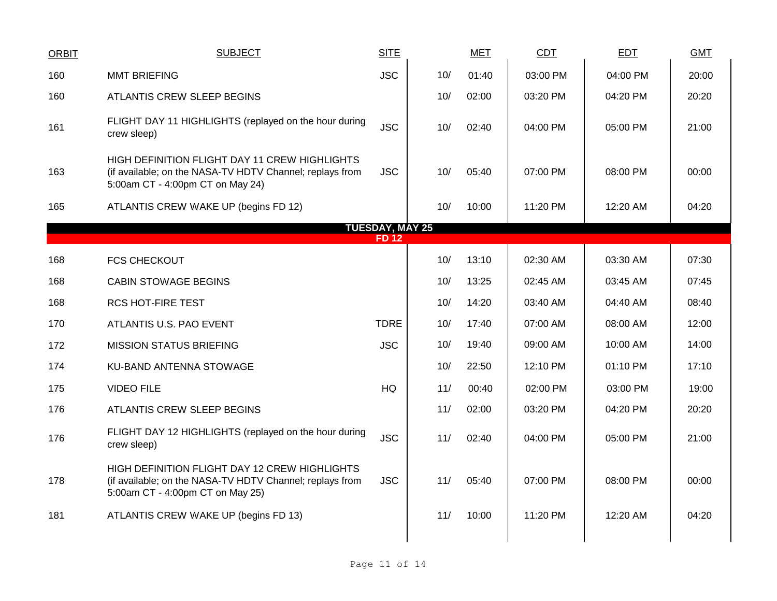| <b>ORBIT</b> | <b>SUBJECT</b>                                                                                                                                | <b>SITE</b>            |     | <b>MET</b> | CDT      | <b>EDT</b> | <b>GMT</b> |
|--------------|-----------------------------------------------------------------------------------------------------------------------------------------------|------------------------|-----|------------|----------|------------|------------|
| 160          | <b>MMT BRIEFING</b>                                                                                                                           | <b>JSC</b>             | 10/ | 01:40      | 03:00 PM | 04:00 PM   | 20:00      |
| 160          | ATLANTIS CREW SLEEP BEGINS                                                                                                                    |                        | 10/ | 02:00      | 03:20 PM | 04:20 PM   | 20:20      |
| 161          | FLIGHT DAY 11 HIGHLIGHTS (replayed on the hour during<br>crew sleep)                                                                          | <b>JSC</b>             | 10/ | 02:40      | 04:00 PM | 05:00 PM   | 21:00      |
| 163          | HIGH DEFINITION FLIGHT DAY 11 CREW HIGHLIGHTS<br>(if available; on the NASA-TV HDTV Channel; replays from<br>5:00am CT - 4:00pm CT on May 24) | <b>JSC</b>             | 10/ | 05:40      | 07:00 PM | 08:00 PM   | 00:00      |
| 165          | ATLANTIS CREW WAKE UP (begins FD 12)                                                                                                          |                        | 10/ | 10:00      | 11:20 PM | 12:20 AM   | 04:20      |
|              |                                                                                                                                               | <b>TUESDAY, MAY 25</b> |     |            |          |            |            |
|              |                                                                                                                                               | <b>FD12</b>            |     |            |          |            |            |
| 168          | <b>FCS CHECKOUT</b>                                                                                                                           |                        | 10/ | 13:10      | 02:30 AM | 03:30 AM   | 07:30      |
| 168          | <b>CABIN STOWAGE BEGINS</b>                                                                                                                   |                        | 10/ | 13:25      | 02:45 AM | 03:45 AM   | 07:45      |
| 168          | <b>RCS HOT-FIRE TEST</b>                                                                                                                      |                        | 10/ | 14:20      | 03:40 AM | 04:40 AM   | 08:40      |
| 170          | ATLANTIS U.S. PAO EVENT                                                                                                                       | <b>TDRE</b>            | 10/ | 17:40      | 07:00 AM | 08:00 AM   | 12:00      |
| 172          | <b>MISSION STATUS BRIEFING</b>                                                                                                                | <b>JSC</b>             | 10/ | 19:40      | 09:00 AM | 10:00 AM   | 14:00      |
| 174          | KU-BAND ANTENNA STOWAGE                                                                                                                       |                        | 10/ | 22:50      | 12:10 PM | 01:10 PM   | 17:10      |
| 175          | <b>VIDEO FILE</b>                                                                                                                             | <b>HQ</b>              | 11/ | 00:40      | 02:00 PM | 03:00 PM   | 19:00      |
| 176          | ATLANTIS CREW SLEEP BEGINS                                                                                                                    |                        | 11/ | 02:00      | 03:20 PM | 04:20 PM   | 20:20      |
| 176          | FLIGHT DAY 12 HIGHLIGHTS (replayed on the hour during<br>crew sleep)                                                                          | <b>JSC</b>             | 11/ | 02:40      | 04:00 PM | 05:00 PM   | 21:00      |
| 178          | HIGH DEFINITION FLIGHT DAY 12 CREW HIGHLIGHTS<br>(if available; on the NASA-TV HDTV Channel; replays from<br>5:00am CT - 4:00pm CT on May 25) | <b>JSC</b>             | 11/ | 05:40      | 07:00 PM | 08:00 PM   | 00:00      |
| 181          | ATLANTIS CREW WAKE UP (begins FD 13)                                                                                                          |                        | 11/ | 10:00      | 11:20 PM | 12:20 AM   | 04:20      |
|              |                                                                                                                                               |                        |     |            |          |            |            |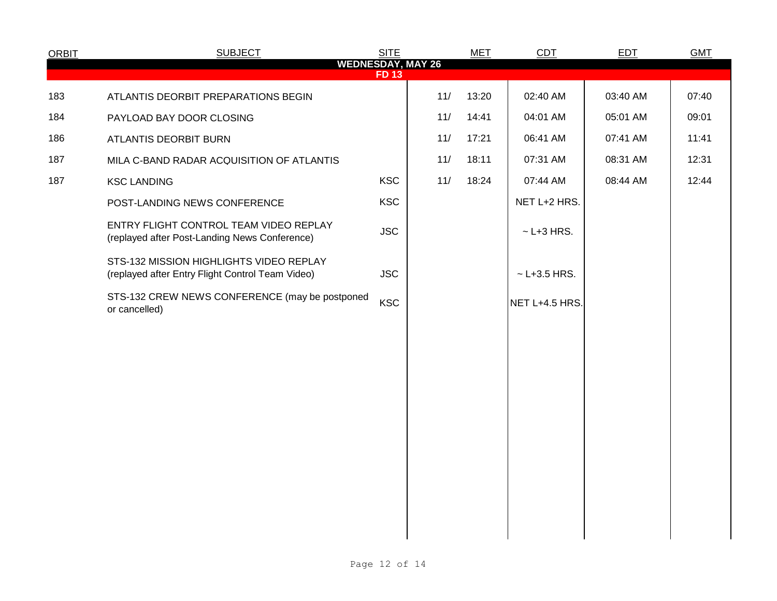| <b>ORBIT</b> | <b>SUBJECT</b>                                                                              | <b>SITE</b> |     | <b>MET</b> | <b>CDT</b>         | EDT      | <b>GMT</b> |
|--------------|---------------------------------------------------------------------------------------------|-------------|-----|------------|--------------------|----------|------------|
|              | <b>WEDNESDAY, MAY 26</b>                                                                    | <b>FD13</b> |     |            |                    |          |            |
| 183          | ATLANTIS DEORBIT PREPARATIONS BEGIN                                                         |             | 11/ | 13:20      | 02:40 AM           | 03:40 AM | 07:40      |
| 184          | PAYLOAD BAY DOOR CLOSING                                                                    |             | 11/ | 14:41      | 04:01 AM           | 05:01 AM | 09:01      |
| 186          | ATLANTIS DEORBIT BURN                                                                       |             | 11/ | 17:21      | 06:41 AM           | 07:41 AM | 11:41      |
| 187          | MILA C-BAND RADAR ACQUISITION OF ATLANTIS                                                   |             | 11/ | 18:11      | 07:31 AM           | 08:31 AM | 12:31      |
| 187          | <b>KSC LANDING</b>                                                                          | <b>KSC</b>  | 11/ | 18:24      | 07:44 AM           | 08:44 AM | 12:44      |
|              | POST-LANDING NEWS CONFERENCE                                                                | <b>KSC</b>  |     |            | NET L+2 HRS.       |          |            |
|              | ENTRY FLIGHT CONTROL TEAM VIDEO REPLAY<br>(replayed after Post-Landing News Conference)     | <b>JSC</b>  |     |            | $\sim$ L+3 HRS.    |          |            |
|              | STS-132 MISSION HIGHLIGHTS VIDEO REPLAY<br>(replayed after Entry Flight Control Team Video) | <b>JSC</b>  |     |            | $~\sim$ L+3.5 HRS. |          |            |
|              | STS-132 CREW NEWS CONFERENCE (may be postponed<br>or cancelled)                             | <b>KSC</b>  |     |            | NET L+4.5 HRS.     |          |            |
|              |                                                                                             |             |     |            |                    |          |            |
|              |                                                                                             |             |     |            |                    |          |            |
|              |                                                                                             |             |     |            |                    |          |            |
|              |                                                                                             |             |     |            |                    |          |            |
|              |                                                                                             |             |     |            |                    |          |            |
|              |                                                                                             |             |     |            |                    |          |            |
|              |                                                                                             |             |     |            |                    |          |            |
|              |                                                                                             |             |     |            |                    |          |            |
|              |                                                                                             |             |     |            |                    |          |            |
|              |                                                                                             |             |     |            |                    |          |            |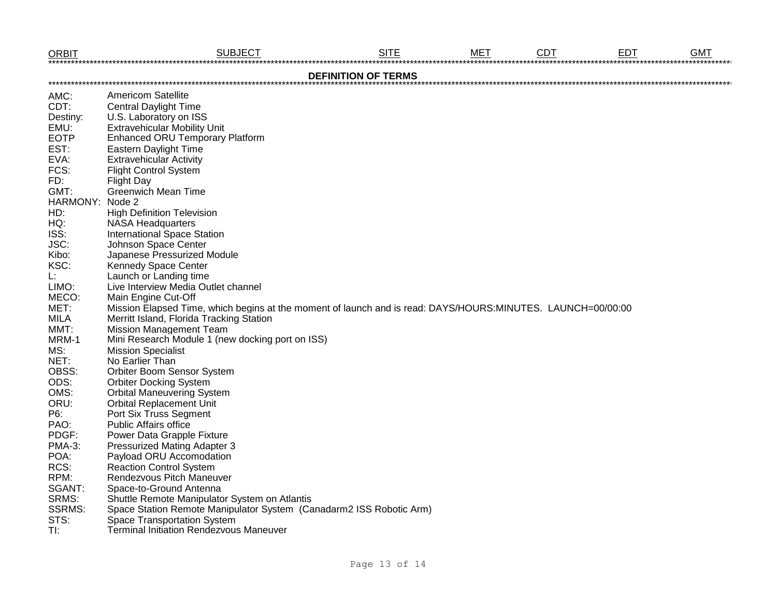| <b>ORBIT</b>               | <b>SUBJECT</b>                                                                                              | <b>SITE</b> | <b>MET</b> | <b>CDT</b> | <b>EDT</b> | <b>GMT</b> |  |  |  |  |  |  |
|----------------------------|-------------------------------------------------------------------------------------------------------------|-------------|------------|------------|------------|------------|--|--|--|--|--|--|
| <b>DEFINITION OF TERMS</b> |                                                                                                             |             |            |            |            |            |  |  |  |  |  |  |
| AMC:                       | <b>Americom Satellite</b>                                                                                   |             |            |            |            |            |  |  |  |  |  |  |
| CDT:                       | <b>Central Daylight Time</b>                                                                                |             |            |            |            |            |  |  |  |  |  |  |
| Destiny:                   | U.S. Laboratory on ISS                                                                                      |             |            |            |            |            |  |  |  |  |  |  |
| EMU:                       | <b>Extravehicular Mobility Unit</b>                                                                         |             |            |            |            |            |  |  |  |  |  |  |
| <b>EOTP</b>                | <b>Enhanced ORU Temporary Platform</b>                                                                      |             |            |            |            |            |  |  |  |  |  |  |
| EST:                       | Eastern Daylight Time                                                                                       |             |            |            |            |            |  |  |  |  |  |  |
| EVA:                       | <b>Extravehicular Activity</b>                                                                              |             |            |            |            |            |  |  |  |  |  |  |
| FCS:                       | <b>Flight Control System</b>                                                                                |             |            |            |            |            |  |  |  |  |  |  |
| FD:                        |                                                                                                             |             |            |            |            |            |  |  |  |  |  |  |
| GMT:                       | <b>Flight Day</b><br><b>Greenwich Mean Time</b>                                                             |             |            |            |            |            |  |  |  |  |  |  |
| HARMONY: Node 2            |                                                                                                             |             |            |            |            |            |  |  |  |  |  |  |
| HD:                        |                                                                                                             |             |            |            |            |            |  |  |  |  |  |  |
|                            | <b>High Definition Television</b>                                                                           |             |            |            |            |            |  |  |  |  |  |  |
| HQ:                        | <b>NASA Headquarters</b>                                                                                    |             |            |            |            |            |  |  |  |  |  |  |
| ISS:                       | <b>International Space Station</b>                                                                          |             |            |            |            |            |  |  |  |  |  |  |
| JSC:                       | Johnson Space Center                                                                                        |             |            |            |            |            |  |  |  |  |  |  |
| Kibo:                      | Japanese Pressurized Module                                                                                 |             |            |            |            |            |  |  |  |  |  |  |
| KSC:                       | <b>Kennedy Space Center</b>                                                                                 |             |            |            |            |            |  |  |  |  |  |  |
| L.                         | Launch or Landing time                                                                                      |             |            |            |            |            |  |  |  |  |  |  |
| LIMO:                      | Live Interview Media Outlet channel                                                                         |             |            |            |            |            |  |  |  |  |  |  |
| MECO:                      | Main Engine Cut-Off                                                                                         |             |            |            |            |            |  |  |  |  |  |  |
| MET:                       | Mission Elapsed Time, which begins at the moment of launch and is read: DAYS/HOURS:MINUTES. LAUNCH=00/00:00 |             |            |            |            |            |  |  |  |  |  |  |
| <b>MILA</b>                | Merritt Island, Florida Tracking Station                                                                    |             |            |            |            |            |  |  |  |  |  |  |
| MMT:                       | <b>Mission Management Team</b>                                                                              |             |            |            |            |            |  |  |  |  |  |  |
| MRM-1                      | Mini Research Module 1 (new docking port on ISS)                                                            |             |            |            |            |            |  |  |  |  |  |  |
| MS:                        | <b>Mission Specialist</b>                                                                                   |             |            |            |            |            |  |  |  |  |  |  |
| NET:                       | No Earlier Than                                                                                             |             |            |            |            |            |  |  |  |  |  |  |
| OBSS:                      | Orbiter Boom Sensor System                                                                                  |             |            |            |            |            |  |  |  |  |  |  |
| ODS:                       | <b>Orbiter Docking System</b>                                                                               |             |            |            |            |            |  |  |  |  |  |  |
| OMS:                       | <b>Orbital Maneuvering System</b>                                                                           |             |            |            |            |            |  |  |  |  |  |  |
| ORU:                       | <b>Orbital Replacement Unit</b>                                                                             |             |            |            |            |            |  |  |  |  |  |  |
| P6:                        | Port Six Truss Segment                                                                                      |             |            |            |            |            |  |  |  |  |  |  |
| PAO:                       | <b>Public Affairs office</b>                                                                                |             |            |            |            |            |  |  |  |  |  |  |
| PDGF:                      | Power Data Grapple Fixture                                                                                  |             |            |            |            |            |  |  |  |  |  |  |
| <b>PMA-3:</b>              | <b>Pressurized Mating Adapter 3</b>                                                                         |             |            |            |            |            |  |  |  |  |  |  |
| POA:                       | Payload ORU Accomodation                                                                                    |             |            |            |            |            |  |  |  |  |  |  |
| RCS:                       | <b>Reaction Control System</b>                                                                              |             |            |            |            |            |  |  |  |  |  |  |
| RPM:                       | Rendezvous Pitch Maneuver                                                                                   |             |            |            |            |            |  |  |  |  |  |  |
| SGANT:                     | Space-to-Ground Antenna                                                                                     |             |            |            |            |            |  |  |  |  |  |  |
| SRMS:                      | Shuttle Remote Manipulator System on Atlantis                                                               |             |            |            |            |            |  |  |  |  |  |  |
| <b>SSRMS:</b>              | Space Station Remote Manipulator System (Canadarm2 ISS Robotic Arm)                                         |             |            |            |            |            |  |  |  |  |  |  |
| STS:                       | Space Transportation System                                                                                 |             |            |            |            |            |  |  |  |  |  |  |
| TI:                        | <b>Terminal Initiation Rendezvous Maneuver</b>                                                              |             |            |            |            |            |  |  |  |  |  |  |